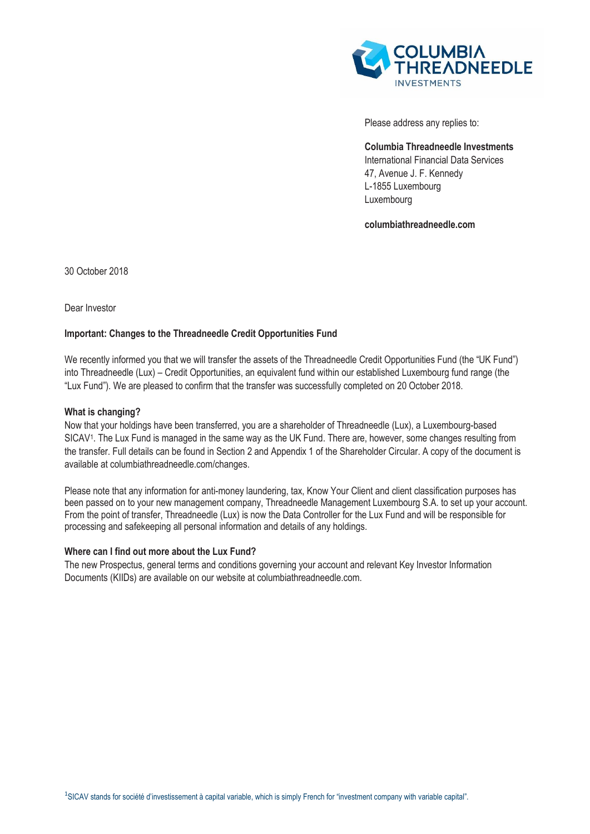

Please address any replies to:

**Columbia Threadneedle Investments**  International Financial Data Services 47, Avenue J. F. Kennedy L-1855 Luxembourg Luxembourg

**columbiathreadneedle.com**

30 October 2018

Dear Investor

## **Important: Changes to the Threadneedle Credit Opportunities Fund**

We recently informed you that we will transfer the assets of the Threadneedle Credit Opportunities Fund (the "UK Fund") into Threadneedle (Lux) – Credit Opportunities, an equivalent fund within our established Luxembourg fund range (the "Lux Fund"). We are pleased to confirm that the transfer was successfully completed on 20 October 2018.

## **What is changing?**

Now that your holdings have been transferred, you are a shareholder of Threadneedle (Lux), a Luxembourg-based SICAV<sup>1</sup> . The Lux Fund is managed in the same way as the UK Fund. There are, however, some changes resulting from the transfer. Full details can be found in Section 2 and Appendix 1 of the Shareholder Circular. A copy of the document is available at columbiathreadneedle.com/changes.

Please note that any information for anti-money laundering, tax, Know Your Client and client classification purposes has been passed on to your new management company, Threadneedle Management Luxembourg S.A. to set up your account. From the point of transfer, Threadneedle (Lux) is now the Data Controller for the Lux Fund and will be responsible for processing and safekeeping all personal information and details of any holdings.

## **Where can I find out more about the Lux Fund?**

The new Prospectus, general terms and conditions governing your account and relevant Key Investor Information Documents (KIIDs) are available on our website at columbiathreadneedle.com.